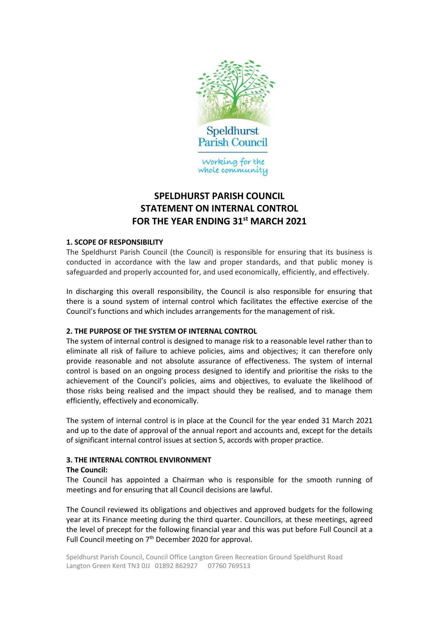

# **SPELDHURST PARISH COUNCIL STATEMENT ON INTERNAL CONTROL FOR THE YEAR ENDING 31st MARCH 2021**

## **1. SCOPE OF RESPONSIBILITY**

The Speldhurst Parish Council (the Council) is responsible for ensuring that its business is conducted in accordance with the law and proper standards, and that public money is safeguarded and properly accounted for, and used economically, efficiently, and effectively.

In discharging this overall responsibility, the Council is also responsible for ensuring that there is a sound system of internal control which facilitates the effective exercise of the Council's functions and which includes arrangements for the management of risk.

## **2. THE PURPOSE OF THE SYSTEM OF INTERNAL CONTROL**

The system of internal control is designed to manage risk to a reasonable level rather than to eliminate all risk of failure to achieve policies, aims and objectives; it can therefore only provide reasonable and not absolute assurance of effectiveness. The system of internal control is based on an ongoing process designed to identify and prioritise the risks to the achievement of the Council's policies, aims and objectives, to evaluate the likelihood of those risks being realised and the impact should they be realised, and to manage them efficiently, effectively and economically.

The system of internal control is in place at the Council for the year ended 31 March 2021 and up to the date of approval of the annual report and accounts and, except for the details of significant internal control issues at section 5, accords with proper practice.

## **3. THE INTERNAL CONTROL ENVIRONMENT**

## **The Council:**

The Council has appointed a Chairman who is responsible for the smooth running of meetings and for ensuring that all Council decisions are lawful.

The Council reviewed its obligations and objectives and approved budgets for the following year at its Finance meeting during the third quarter. Councillors, at these meetings, agreed the level of precept for the following financial year and this was put before Full Council at a Full Council meeting on 7<sup>th</sup> December 2020 for approval.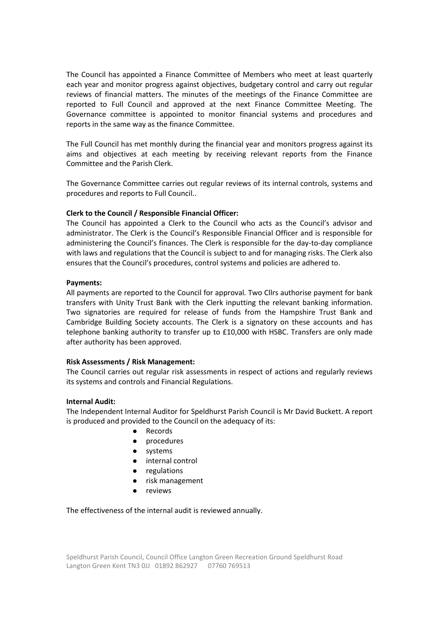The Council has appointed a Finance Committee of Members who meet at least quarterly each year and monitor progress against objectives, budgetary control and carry out regular reviews of financial matters. The minutes of the meetings of the Finance Committee are reported to Full Council and approved at the next Finance Committee Meeting. The Governance committee is appointed to monitor financial systems and procedures and reports in the same way as the finance Committee.

The Full Council has met monthly during the financial year and monitors progress against its aims and objectives at each meeting by receiving relevant reports from the Finance Committee and the Parish Clerk.

The Governance Committee carries out regular reviews of its internal controls, systems and procedures and reports to Full Council..

## **Clerk to the Council / Responsible Financial Officer:**

The Council has appointed a Clerk to the Council who acts as the Council's advisor and administrator. The Clerk is the Council's Responsible Financial Officer and is responsible for administering the Council's finances. The Clerk is responsible for the day-to-day compliance with laws and regulations that the Council is subject to and for managing risks. The Clerk also ensures that the Council's procedures, control systems and policies are adhered to.

## **Payments:**

All payments are reported to the Council for approval. Two Cllrs authorise payment for bank transfers with Unity Trust Bank with the Clerk inputting the relevant banking information. Two signatories are required for release of funds from the Hampshire Trust Bank and Cambridge Building Society accounts. The Clerk is a signatory on these accounts and has telephone banking authority to transfer up to £10,000 with HSBC. Transfers are only made after authority has been approved.

### **Risk Assessments / Risk Management:**

The Council carries out regular risk assessments in respect of actions and regularly reviews its systems and controls and Financial Regulations.

### **Internal Audit:**

The Independent Internal Auditor for Speldhurst Parish Council is Mr David Buckett. A report is produced and provided to the Council on the adequacy of its:

- ⚫ Records
- ⚫ procedures
- ⚫ systems
- ⚫ internal control
- ⚫ regulations
- ⚫ risk management
- ⚫ reviews

The effectiveness of the internal audit is reviewed annually.